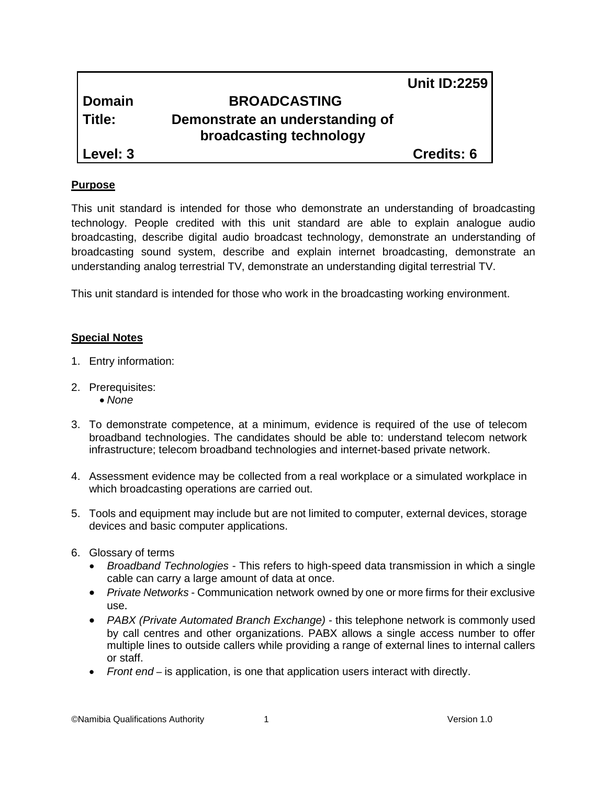# **Domain BROADCASTING Title: Demonstrate an understanding of broadcasting technology**

**Level: 3** Credits: 6

### **Purpose**

This unit standard is intended for those who demonstrate an understanding of broadcasting technology. People credited with this unit standard are able to explain analogue audio broadcasting, describe digital audio broadcast technology, demonstrate an understanding of broadcasting sound system, describe and explain internet broadcasting, demonstrate an understanding analog terrestrial TV, demonstrate an understanding digital terrestrial TV.

This unit standard is intended for those who work in the broadcasting working environment.

## **Special Notes**

- 1. Entry information:
- 2. Prerequisites:
	- *None*
- 3. To demonstrate competence, at a minimum, evidence is required of the use of telecom broadband technologies. The candidates should be able to: understand telecom network infrastructure; telecom broadband technologies and internet-based private network.
- 4. Assessment evidence may be collected from a real workplace or a simulated workplace in which broadcasting operations are carried out.
- 5. Tools and equipment may include but are not limited to computer, external devices, storage devices and basic computer applications.
- 6. Glossary of terms
	- *Broadband Technologies* This refers to high-speed data transmission in which a single cable can carry a large amount of data at once.
	- *Private Networks* Communication network owned by one or more firms for their exclusive use.
	- *PABX (Private Automated Branch Exchange)*  this telephone network is commonly used by call centres and other organizations. PABX allows a single access number to offer multiple lines to outside callers while providing a range of external lines to internal callers or staff.
	- *Front end –* is application, is one that application users interact with directly.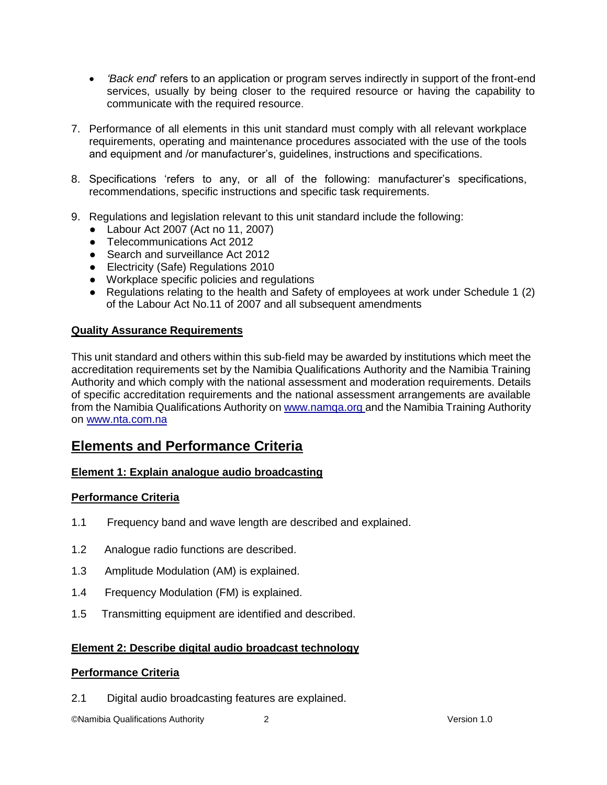- *'Back end*' refers to an application or program serves indirectly in support of the front-end services, usually by being closer to the required resource or having the capability to communicate with the required resource.
- 7. Performance of all elements in this unit standard must comply with all relevant workplace requirements, operating and maintenance procedures associated with the use of the tools and equipment and /or manufacturer's, guidelines, instructions and specifications.
- 8. Specifications 'refers to any, or all of the following: manufacturer's specifications, recommendations, specific instructions and specific task requirements.
- 9. Regulations and legislation relevant to this unit standard include the following:
	- Labour Act 2007 (Act no 11, 2007)
	- Telecommunications Act 2012
	- Search and surveillance Act 2012
	- Electricity (Safe) Regulations 2010
	- Workplace specific policies and regulations
	- Regulations relating to the health and Safety of employees at work under Schedule 1 (2) of the Labour Act No.11 of 2007 and all subsequent amendments

#### **Quality Assurance Requirements**

This unit standard and others within this sub-field may be awarded by institutions which meet the accreditation requirements set by the Namibia Qualifications Authority and the Namibia Training Authority and which comply with the national assessment and moderation requirements. Details of specific accreditation requirements and the national assessment arrangements are available from the Namibia Qualifications Authority o[n www.namqa.org a](http://www.namqa.org/)nd the Namibia Training Authority on [www.nta.com.na](http://www.nta.com.na/)

## **Elements and Performance Criteria**

#### **Element 1: Explain analogue audio broadcasting**

#### **Performance Criteria**

- 1.1 Frequency band and wave length are described and explained.
- 1.2 Analogue radio functions are described.
- 1.3 Amplitude Modulation (AM) is explained.
- 1.4 Frequency Modulation (FM) is explained.
- 1.5 Transmitting equipment are identified and described.

#### **Element 2: Describe digital audio broadcast technology**

#### **Performance Criteria**

2.1 Digital audio broadcasting features are explained.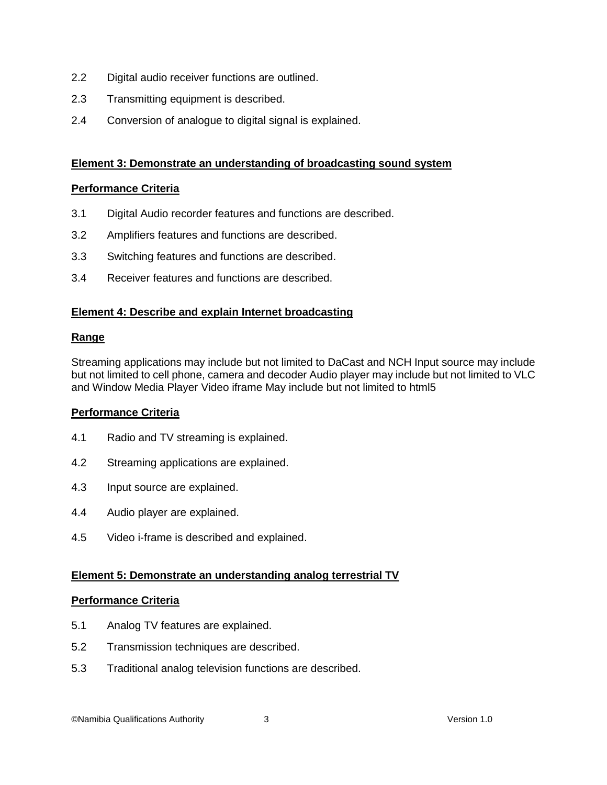- 2.2 Digital audio receiver functions are outlined.
- 2.3 Transmitting equipment is described.
- 2.4 Conversion of analogue to digital signal is explained.

#### **Element 3: Demonstrate an understanding of broadcasting sound system**

#### **Performance Criteria**

- 3.1 Digital Audio recorder features and functions are described.
- 3.2 Amplifiers features and functions are described.
- 3.3 Switching features and functions are described.
- 3.4 Receiver features and functions are described.

#### **Element 4: Describe and explain Internet broadcasting**

#### **Range**

Streaming applications may include but not limited to DaCast and NCH Input source may include but not limited to cell phone, camera and decoder Audio player may include but not limited to VLC and Window Media Player Video iframe May include but not limited to html5

#### **Performance Criteria**

- 4.1 Radio and TV streaming is explained.
- 4.2 Streaming applications are explained.
- 4.3 Input source are explained.
- 4.4 Audio player are explained.
- 4.5 Video i-frame is described and explained.

#### **Element 5: Demonstrate an understanding analog terrestrial TV**

#### **Performance Criteria**

- 5.1 Analog TV features are explained.
- 5.2 Transmission techniques are described.
- 5.3 Traditional analog television functions are described.